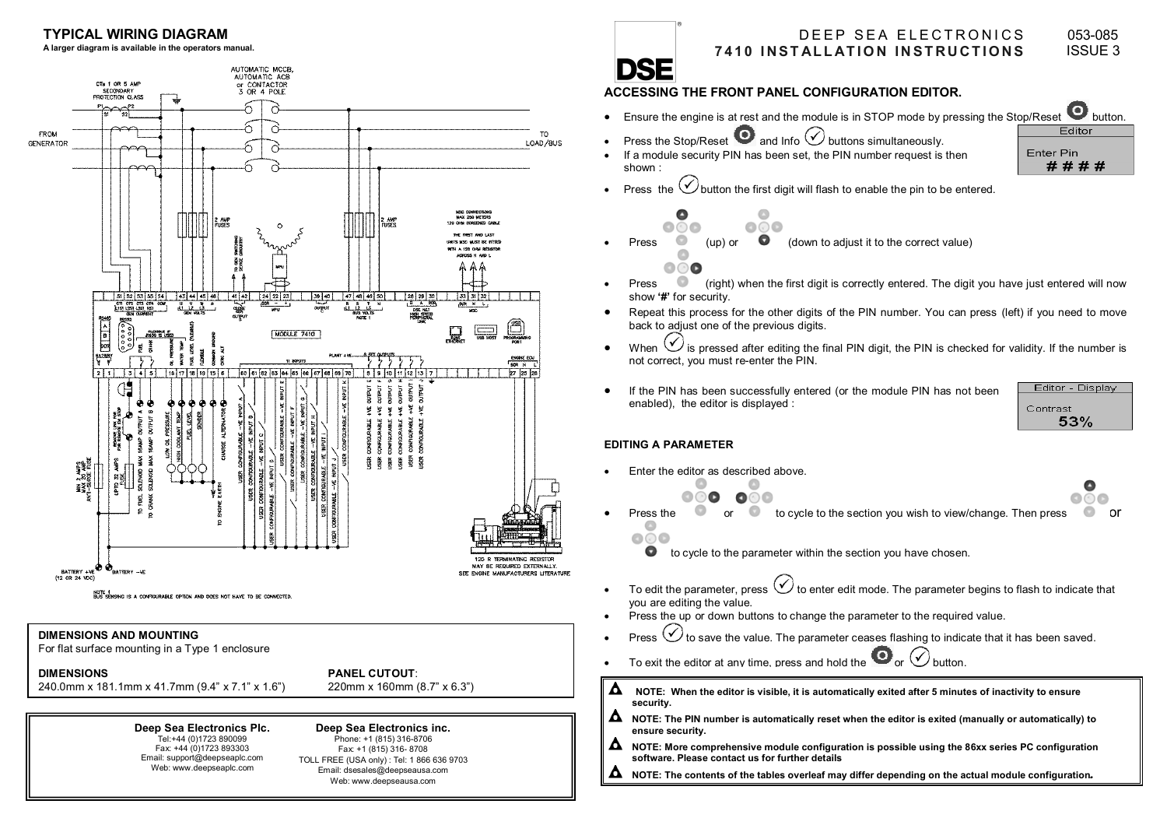

 TOLL FREE (USA only) : Tel: 1 866 636 9703 Email: dsesales@deepseausa.com Web: www.deepseausa.com

Web: www.deepseaplc.com

# **ACCESSING THE FRONT PANEL CONFIGURATION EDITOR.**

- Ensure the engine is at rest and the module is in STOP mode by pressing the Stop/Reset button.
- Press the Stop/Reset **a**nd Info  $\heartsuit$  buttons simultaneously.
- If a module security PIN has been set, the PIN number request is then shown :



Press the  $\bigcirc$  button the first digit will flash to enable the pin to be entered.

Press (up) or (down to adjust it to the correct value)

- Press (right) when the first digit is correctly entered. The digit you have just entered will now show **'#'** for security.
- • Repeat this process for the other digits of the PIN number. You can press (left) if you need to move back to adjust one of the previous digits.
- •When  $\vee$  is pressed after editing the final PIN digit, the PIN is checked for validity. If the number is not correct, you must re-enter the PIN.
- • If the PIN has been successfully entered (or the module PIN has not been enabled), the editor is displayed :

### **EDITING A PARAMETER**

•

- Enter the editor as described above.
	- Press the or to cycle to the section you wish to view/change. Then press or
		- to cycle to the parameter within the section you have chosen.
- To edit the parameter, press  $\bigcirc$  to enter edit mode. The parameter begins to flash to indicate that you are editing the value.
- Press the up or down buttons to change the parameter to the required value.
- Press  $\vee$  to save the value. The parameter ceases flashing to indicate that it has been saved.
- •
- Δ **NOTE: When the editor is visible, it is automatically exited after 5 minutes of inactivity to ensure security.**
- Δ **NOTE: The PIN number is automatically reset when the editor is exited (manually or automatically) to ensure security.**
- Δ **NOTE: More comprehensive module configuration is possible using the 86xx series PC configuration software. Please contact us for further details**
- **NOTE: The contents of the tables overleaf may differ depending on the actual module configuration**.